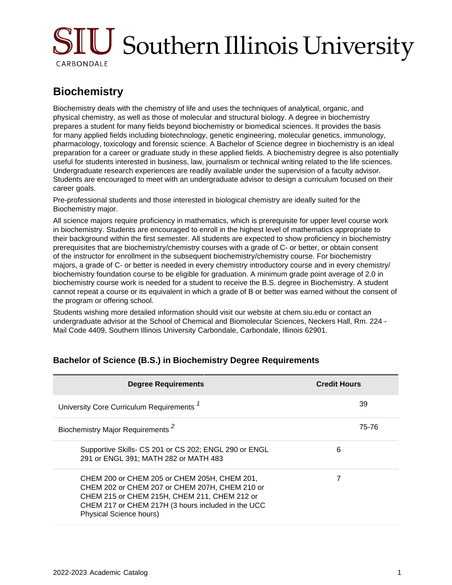# SIU Southern Illinois University CARBONDALE

## **Biochemistry**

Biochemistry deals with the chemistry of life and uses the techniques of analytical, organic, and physical chemistry, as well as those of molecular and structural biology. A degree in biochemistry prepares a student for many fields beyond biochemistry or biomedical sciences. It provides the basis for many applied fields including biotechnology, genetic engineering, molecular genetics, immunology, pharmacology, toxicology and forensic science. A Bachelor of Science degree in biochemistry is an ideal preparation for a career or graduate study in these applied fields. A biochemistry degree is also potentially useful for students interested in business, law, journalism or technical writing related to the life sciences. Undergraduate research experiences are readily available under the supervision of a faculty advisor. Students are encouraged to meet with an undergraduate advisor to design a curriculum focused on their career goals.

Pre-professional students and those interested in biological chemistry are ideally suited for the Biochemistry major.

All science majors require proficiency in mathematics, which is prerequisite for upper level course work in biochemistry. Students are encouraged to enroll in the highest level of mathematics appropriate to their background within the first semester. All students are expected to show proficiency in biochemistry prerequisites that are biochemistry/chemistry courses with a grade of C- or better, or obtain consent of the instructor for enrollment in the subsequent biochemistry/chemistry course. For biochemistry majors, a grade of C- or better is needed in every chemistry introductory course and in every chemistry/ biochemistry foundation course to be eligible for graduation. A minimum grade point average of 2.0 in biochemistry course work is needed for a student to receive the B.S. degree in Biochemistry. A student cannot repeat a course or its equivalent in which a grade of B or better was earned without the consent of the program or offering school.

Students wishing more detailed information should visit our website at chem.siu.edu or contact an undergraduate advisor at the School of Chemical and Biomolecular Sciences, Neckers Hall, Rm. 224 - Mail Code 4409, Southern Illinois University Carbondale, Carbondale, Illinois 62901.

| <b>Degree Requirements</b>                                                                                                                                                                                                             | <b>Credit Hours</b> |
|----------------------------------------------------------------------------------------------------------------------------------------------------------------------------------------------------------------------------------------|---------------------|
| University Core Curriculum Requirements <sup>1</sup>                                                                                                                                                                                   | 39                  |
| Biochemistry Major Requirements <sup>2</sup>                                                                                                                                                                                           | 75-76               |
| Supportive Skills- CS 201 or CS 202; ENGL 290 or ENGL<br>291 or ENGL 391; MATH 282 or MATH 483                                                                                                                                         | 6                   |
| CHEM 200 or CHEM 205 or CHEM 205H, CHEM 201,<br>CHEM 202 or CHEM 207 or CHEM 207H, CHEM 210 or<br>CHEM 215 or CHEM 215H, CHEM 211, CHEM 212 or<br>CHEM 217 or CHEM 217H (3 hours included in the UCC<br><b>Physical Science hours)</b> | 7                   |

#### **Bachelor of Science (B.S.) in Biochemistry Degree Requirements**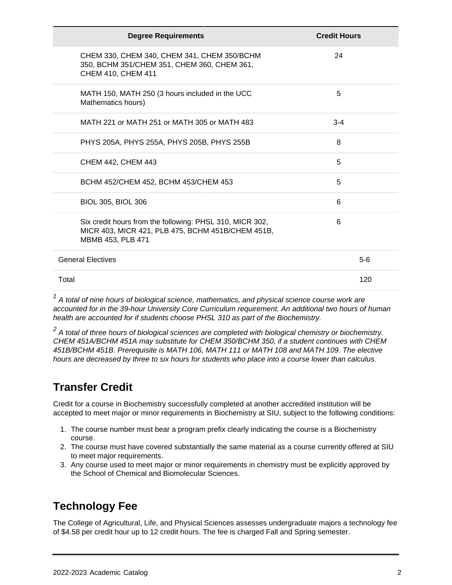| <b>Degree Requirements</b>                                                                                                         | <b>Credit Hours</b> |
|------------------------------------------------------------------------------------------------------------------------------------|---------------------|
| CHEM 330, CHEM 340, CHEM 341, CHEM 350/BCHM<br>350, BCHM 351/CHEM 351, CHEM 360, CHEM 361,<br>CHEM 410, CHEM 411                   | 24                  |
| MATH 150, MATH 250 (3 hours included in the UCC<br>Mathematics hours)                                                              | 5                   |
| MATH 221 or MATH 251 or MATH 305 or MATH 483                                                                                       | $3 - 4$             |
| PHYS 205A, PHYS 255A, PHYS 205B, PHYS 255B                                                                                         | 8                   |
| CHEM 442, CHEM 443                                                                                                                 | 5                   |
| BCHM 452/CHEM 452, BCHM 453/CHEM 453                                                                                               | 5                   |
| <b>BIOL 305, BIOL 306</b>                                                                                                          | 6                   |
| Six credit hours from the following: PHSL 310, MICR 302,<br>MICR 403, MICR 421, PLB 475, BCHM 451B/CHEM 451B,<br>MBMB 453, PLB 471 | 6                   |
| <b>General Electives</b>                                                                                                           | $5-6$               |
| Total                                                                                                                              | 120                 |

 $1$  A total of nine hours of biological science, mathematics, and physical science course work are accounted for in the 39-hour University Core Curriculum requirement. An additional two hours of human health are accounted for if students choose PHSL 310 as part of the Biochemistry.

 $2$  A total of three hours of biological sciences are completed with biological chemistry or biochemistry. CHEM 451A/BCHM 451A may substitute for CHEM 350/BCHM 350, if a student continues with CHEM 451B/BCHM 451B. Prerequisite is MATH 106, MATH 111 or MATH 108 and MATH 109. The elective hours are decreased by three to six hours for students who place into a course lower than calculus.

## **Transfer Credit**

Credit for a course in Biochemistry successfully completed at another accredited institution will be accepted to meet major or minor requirements in Biochemistry at SIU, subject to the following conditions:

- 1. The course number must bear a program prefix clearly indicating the course is a Biochemistry course.
- 2. The course must have covered substantially the same material as a course currently offered at SIU to meet major requirements.
- 3. Any course used to meet major or minor requirements in chemistry must be explicitly approved by the School of Chemical and Biomolecular Sciences.

## **Technology Fee**

The College of Agricultural, Life, and Physical Sciences assesses undergraduate majors a technology fee of \$4.58 per credit hour up to 12 credit hours. The fee is charged Fall and Spring semester.